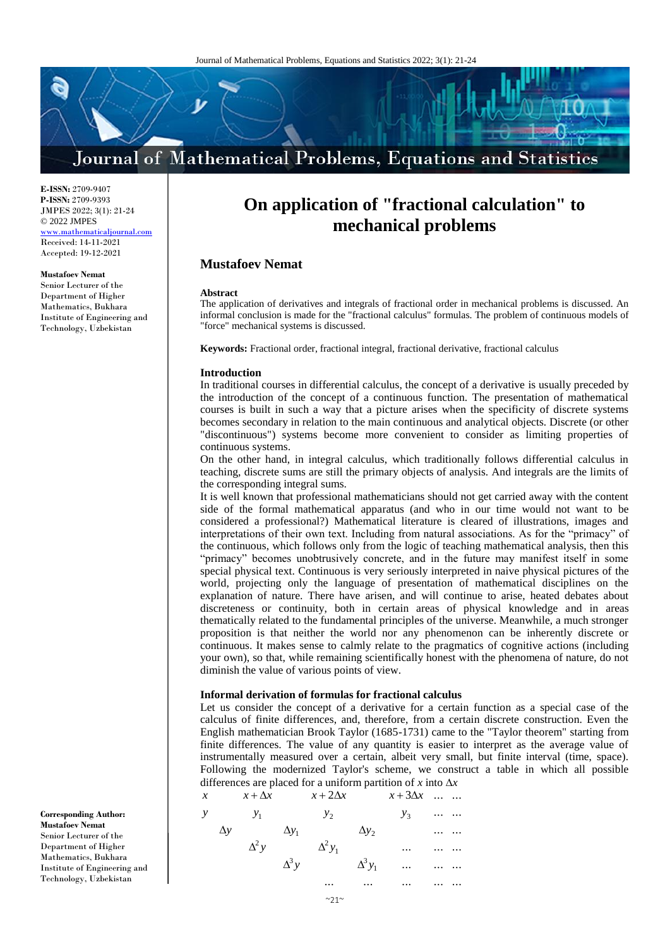# Journal of Mathematical Problems, Equations and Statistics

**E-ISSN:** 2709-9407 **P-ISSN:** 2709-9393 JMPES 2022; 3(1): 21-24 © 2022 JMPES <www.mathematicaljournal.com> Received: 14-11-2021 Accepted: 19-12-2021

#### **Mustafoev Nemat**

Senior Lecturer of the Department of Higher Mathematics, Bukhara Institute of Engineering and Technology, Uzbekistan

**On application of "fractional calculation" to mechanical problems**

# **Mustafoev Nemat**

#### **Abstract**

The application of derivatives and integrals of fractional order in mechanical problems is discussed. An informal conclusion is made for the "fractional calculus" formulas. The problem of continuous models of "force" mechanical systems is discussed.

**Keywords:** Fractional order, fractional integral, fractional derivative, fractional calculus

### **Introduction**

In traditional courses in differential calculus, the concept of a derivative is usually preceded by the introduction of the concept of a continuous function. The presentation of mathematical courses is built in such a way that a picture arises when the specificity of discrete systems becomes secondary in relation to the main continuous and analytical objects. Discrete (or other "discontinuous") systems become more convenient to consider as limiting properties of continuous systems.

On the other hand, in integral calculus, which traditionally follows differential calculus in teaching, discrete sums are still the primary objects of analysis. And integrals are the limits of the corresponding integral sums.

It is well known that professional mathematicians should not get carried away with the content side of the formal mathematical apparatus (and who in our time would not want to be considered a professional?) Mathematical literature is cleared of illustrations, images and interpretations of their own text. Including from natural associations. As for the "primacy" of the continuous, which follows only from the logic of teaching mathematical analysis, then this "primacy" becomes unobtrusively concrete, and in the future may manifest itself in some special physical text. Continuous is very seriously interpreted in naive physical pictures of the world, projecting only the language of presentation of mathematical disciplines on the explanation of nature. There have arisen, and will continue to arise, heated debates about discreteness or continuity, both in certain areas of physical knowledge and in areas thematically related to the fundamental principles of the universe. Meanwhile, a much stronger proposition is that neither the world nor any phenomenon can be inherently discrete or continuous. It makes sense to calmly relate to the pragmatics of cognitive actions (including your own), so that, while remaining scientifically honest with the phenomena of nature, do not diminish the value of various points of view.

## **Informal derivation of formulas for fractional calculus**

Let us consider the concept of a derivative for a certain function as a special case of the calculus of finite differences, and, therefore, from a certain discrete construction. Even the English mathematician Brook Taylor (1685-1731) came to the "Taylor theorem" starting from finite differences. The value of any quantity is easier to interpret as the average value of instrumentally measured over a certain, albeit very small, but finite interval (time, space). Following the modernized Taylor's scheme, we construct a table in which all possible differences are placed for a uniform partition of x into  $\Delta x$ 

**Corresponding Author: Mustafoev Nemat** Senior Lecturer of the Department of Higher Mathematics, Bukhara Institute of Engineering and Technology, Uzbekistan

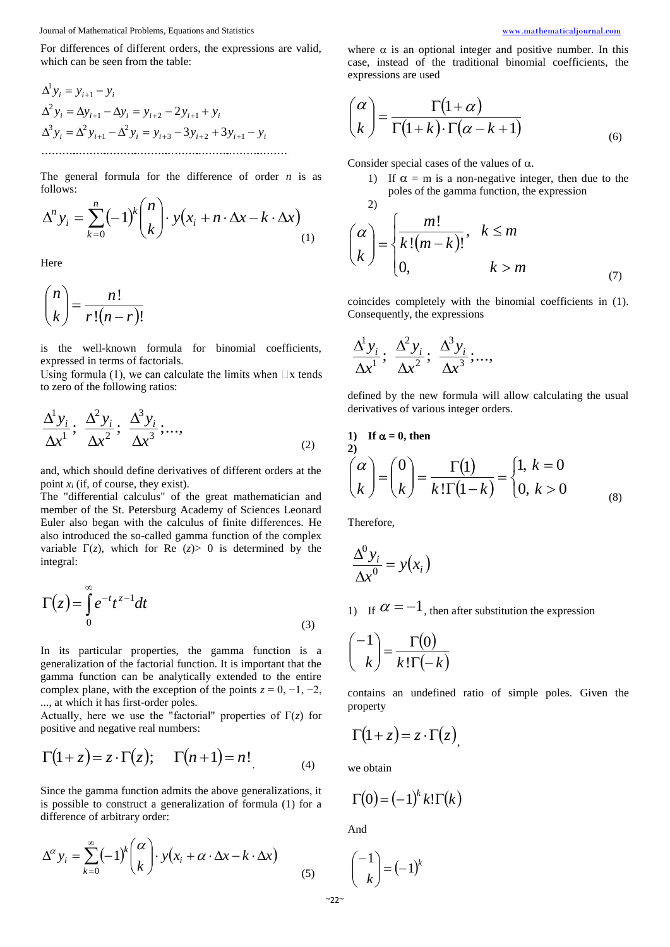Journal of Mathematical Problems, Equations and Statistics [www.mathematicaljournal.com](file://server/test/mathematicaljournal.com/issue/1%20Vol/1%20issue/www.mathematicaljournal.com)

For differences of different orders, the expressions are valid, which can be seen from the table:

......................................................................... 3 3 2 3 2 1 2 1 3 2 1 2 1 2 1 1 *i i i i i i i i i i i i i i i i y y y y y y y y y y y y y y y y* 

The general formula for the difference of order *n* is as follows:

$$
\Delta^n y_i = \sum_{k=0}^n (-1)^k {n \choose k} \cdot y(x_i + n \cdot \Delta x - k \cdot \Delta x)
$$
\n(1)

Here

*n*

$$
\binom{n}{k} = \frac{n!}{r!(n-r)!}
$$

is the well-known formula for binomial coefficients, expressed in terms of factorials.

Using formula (1), we can calculate the limits when  $\Box x$  tends to zero of the following ratios:

$$
\frac{\Delta^1 y_i}{\Delta x^1}; \frac{\Delta^2 y_i}{\Delta x^2}; \frac{\Delta^3 y_i}{\Delta x^3};...,
$$
\n(2)

and, which should define derivatives of different orders at the point  $x_i$  (if, of course, they exist).

The "differential calculus" of the great mathematician and member of the St. Petersburg Academy of Sciences Leonard Euler also began with the calculus of finite differences. He also introduced the so-called gamma function of the complex variable  $\Gamma(z)$ , which for Re  $(z) > 0$  is determined by the integral:

$$
\Gamma(z) = \int_{0}^{\infty} e^{-t} t^{z-1} dt
$$
\n(3)

In its particular properties, the gamma function is a generalization of the factorial function. It is important that the gamma function can be analytically extended to the entire complex plane, with the exception of the points  $z = 0, -1, -2$ , ..., at which it has first-order poles.

Actually, here we use the "factorial" properties of  $\Gamma(z)$  for positive and negative real numbers:

$$
\Gamma(1+z) = z \cdot \Gamma(z); \quad \Gamma(n+1) = n!
$$
\n(4)

Since the gamma function admits the above generalizations, it is possible to construct a generalization of formula (1) for a difference of arbitrary order:

$$
\Delta^{\alpha} y_i = \sum_{k=0}^{\infty} (-1)^k {\alpha \choose k} \cdot y(x_i + \alpha \cdot \Delta x - k \cdot \Delta x)
$$
 (5)

where  $\alpha$  is an optional integer and positive number. In this case, instead of the traditional binomial coefficients, the expressions are used

$$
\binom{\alpha}{k} = \frac{\Gamma(1+\alpha)}{\Gamma(1+k)\cdot\Gamma(\alpha-k+1)}
$$
\n(6)

Consider special cases of the values of  $\alpha$ .

1) If  $\alpha = m$  is a non-negative integer, then due to the poles of the gamma function, the expression  $2)$ 

$$
\binom{\alpha}{k} = \begin{cases} \frac{m!}{k!(m-k)!}, & k \le m \\ 0, & k > m \end{cases}
$$
\n(7)

coincides completely with the binomial coefficients in (1). Consequently, the expressions

$$
\frac{\Delta^1 y_i}{\Delta x^1}; \frac{\Delta^2 y_i}{\Delta x^2}; \frac{\Delta^3 y_i}{\Delta x^3};...,
$$

defined by the new formula will allow calculating the usual derivatives of various integer orders.

1) If 
$$
\alpha = 0
$$
, then  
\n2)  
\n
$$
\begin{pmatrix} \alpha \\ k \end{pmatrix} = \begin{pmatrix} 0 \\ k \end{pmatrix} = \frac{\Gamma(1)}{k! \Gamma(1-k)} = \begin{cases} 1, k = 0 \\ 0, k > 0 \end{cases}
$$
\n(8)

Therefore,

$$
\frac{\Delta^0 y_i}{\Delta x^0} = y(x_i)
$$

1) If  $\alpha = -1$ , then after substitution the expression

$$
\binom{-1}{k} = \frac{\Gamma(0)}{k! \Gamma(-k)}
$$

contains an undefined ratio of simple poles. Given the property

$$
\Gamma(1+z) = z \cdot \Gamma(z),
$$

we obtain

$$
\Gamma(0) = (-1)^k k! \Gamma(k)
$$

And

$$
\binom{-1}{k} = (-1)^k
$$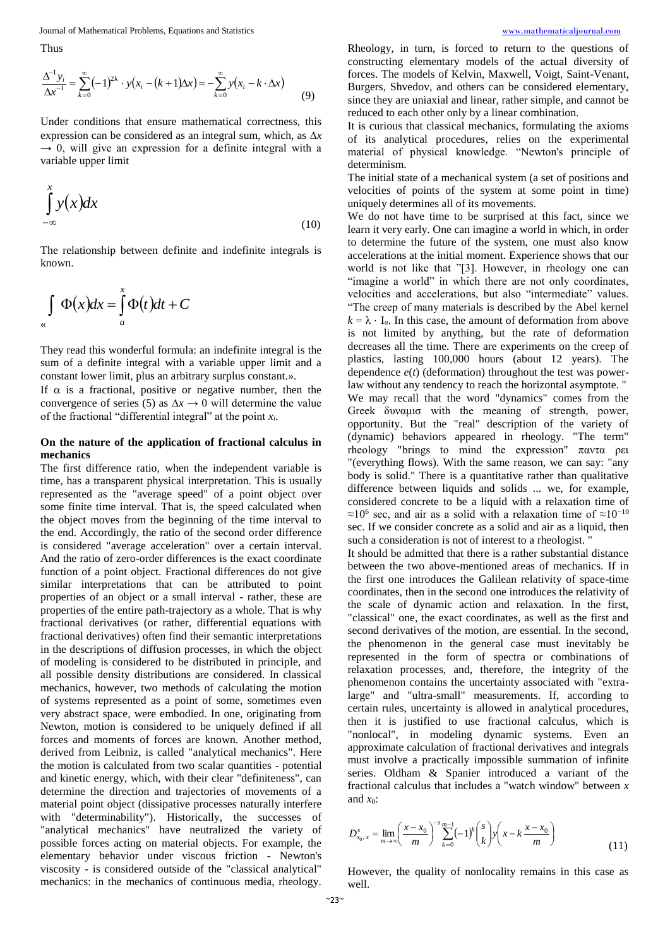Journal of Mathematical Problems, Equations and Statistics [www.mathematicaljournal.com](file://server/test/mathematicaljournal.com/issue/1%20Vol/1%20issue/www.mathematicaljournal.com)

Thus

$$
\frac{\Delta^{-1} y_i}{\Delta x^{-1}} = \sum_{k=0}^{\infty} (-1)^{2k} \cdot y(x_i - (k+1)\Delta x) = -\sum_{k=0}^{\infty} y(x_i - k \cdot \Delta x)
$$
(9)

Under conditions that ensure mathematical correctness, this expression can be considered as an integral sum, which, as  $\Delta x$  $\rightarrow$  0, will give an expression for a definite integral with a variable upper limit

$$
\int_{-\infty}^{x} y(x) dx
$$
 (10)

The relationship between definite and indefinite integrals is known.

$$
\int_{\alpha} \Phi(x) dx = \int_{a}^{x} \Phi(t) dt + C
$$

They read this wonderful formula: an indefinite integral is the sum of a definite integral with a variable upper limit and a constant lower limit, plus an arbitrary surplus constant.».

If  $\alpha$  is a fractional, positive or negative number, then the convergence of series (5) as  $\Delta x \rightarrow 0$  will determine the value of the fractional "differential integral" at the point *xi*.

## **On the nature of the application of fractional calculus in mechanics**

The first difference ratio, when the independent variable is time, has a transparent physical interpretation. This is usually represented as the "average speed" of a point object over some finite time interval. That is, the speed calculated when the object moves from the beginning of the time interval to the end. Accordingly, the ratio of the second order difference is considered "average acceleration" over a certain interval. And the ratio of zero-order differences is the exact coordinate function of a point object. Fractional differences do not give similar interpretations that can be attributed to point properties of an object or a small interval - rather, these are properties of the entire path-trajectory as a whole. That is why fractional derivatives (or rather, differential equations with fractional derivatives) often find their semantic interpretations in the descriptions of diffusion processes, in which the object of modeling is considered to be distributed in principle, and all possible density distributions are considered. In classical mechanics, however, two methods of calculating the motion of systems represented as a point of some, sometimes even very abstract space, were embodied. In one, originating from Newton, motion is considered to be uniquely defined if all forces and moments of forces are known. Another method, derived from Leibniz, is called "analytical mechanics". Here the motion is calculated from two scalar quantities - potential and kinetic energy, which, with their clear "definiteness", can determine the direction and trajectories of movements of a material point object (dissipative processes naturally interfere with "determinability"). Historically, the successes of "analytical mechanics" have neutralized the variety of possible forces acting on material objects. For example, the elementary behavior under viscous friction - Newton's viscosity - is considered outside of the "classical analytical" mechanics: in the mechanics of continuous media, rheology.

Rheology, in turn, is forced to return to the questions of constructing elementary models of the actual diversity of forces. The models of Kelvin, Maxwell, Voigt, Saint-Venant, Burgers, Shvedov, and others can be considered elementary, since they are uniaxial and linear, rather simple, and cannot be reduced to each other only by a linear combination.

It is curious that classical mechanics, formulating the axioms of its analytical procedures, relies on the experimental material of physical knowledge. "Newton's principle of determinism.

The initial state of a mechanical system (a set of positions and velocities of points of the system at some point in time) uniquely determines all of its movements.

We do not have time to be surprised at this fact, since we learn it very early. One can imagine a world in which, in order to determine the future of the system, one must also know accelerations at the initial moment. Experience shows that our world is not like that "[3]. However, in rheology one can "imagine a world" in which there are not only coordinates, velocities and accelerations, but also "intermediate" values. "The creep of many materials is described by the Abel kernel  $k = \lambda \cdot I_{\alpha}$ . In this case, the amount of deformation from above is not limited by anything, but the rate of deformation decreases all the time. There are experiments on the creep of plastics, lasting 100,000 hours (about 12 years). The dependence *e*(*t*) (deformation) throughout the test was powerlaw without any tendency to reach the horizontal asymptote. "

We may recall that the word "dynamics" comes from the Greek δυναμισ with the meaning of strength, power, opportunity. But the "real" description of the variety of (dynamic) behaviors appeared in rheology. "The term" rheology "brings to mind the expression" παντα ρει "(everything flows). With the same reason, we can say: "any body is solid." There is a quantitative rather than qualitative difference between liquids and solids ... we, for example, considered concrete to be a liquid with a relaxation time of  $\approx$ 10<sup>6</sup> sec, and air as a solid with a relaxation time of  $\approx$ 10<sup>-10</sup> sec. If we consider concrete as a solid and air as a liquid, then such a consideration is not of interest to a rheologist. "

It should be admitted that there is a rather substantial distance between the two above-mentioned areas of mechanics. If in the first one introduces the Galilean relativity of space-time coordinates, then in the second one introduces the relativity of the scale of dynamic action and relaxation. In the first, "classical" one, the exact coordinates, as well as the first and second derivatives of the motion, are essential. In the second, the phenomenon in the general case must inevitably be represented in the form of spectra or combinations of relaxation processes, and, therefore, the integrity of the phenomenon contains the uncertainty associated with "extralarge" and "ultra-small" measurements. If, according to certain rules, uncertainty is allowed in analytical procedures, then it is justified to use fractional calculus, which is "nonlocal", in modeling dynamic systems. Even an approximate calculation of fractional derivatives and integrals must involve a practically impossible summation of infinite series. Oldham & Spanier introduced a variant of the fractional calculus that includes a "watch window" between *x* and *x*0:

$$
D_{x_0,x}^s = \lim_{m \to \infty} \left( \frac{x - x_0}{m} \right)^{-s} \sum_{k=0}^{m-1} (-1)^k {s \choose k} y \left( x - k \frac{x - x_0}{m} \right)
$$
(11)

However, the quality of nonlocality remains in this case as well.